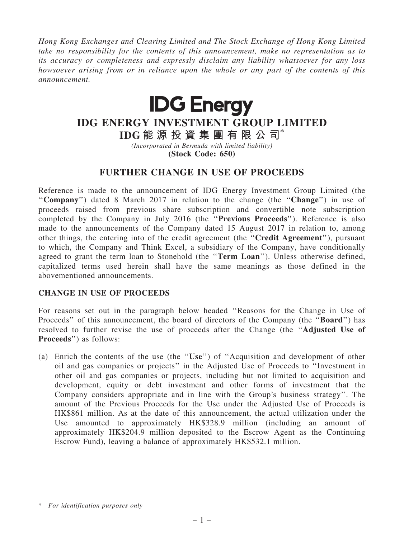*Hong Kong Exchanges and Clearing Limited and The Stock Exchange of Hong Kong Limited take no responsibility for the contents of this announcement, make no representation as to its accuracy or completeness and expressly disclaim any liability whatsoever for any loss howsoever arising from or in reliance upon the whole or any part of the contents of this announcement.*



# IDG ENERGY INVESTMENT GROUP LIMITED

IDG 能 源 投 資 集 團 有 限 公 司\* *(Incorporated in Bermuda with limited liability)*

(Stock Code: 650)

## FURTHER CHANGE IN USE OF PROCEEDS

Reference is made to the announcement of IDG Energy Investment Group Limited (the ''Company'') dated 8 March 2017 in relation to the change (the ''Change'') in use of proceeds raised from previous share subscription and convertible note subscription completed by the Company in July 2016 (the ''Previous Proceeds''). Reference is also made to the announcements of the Company dated 15 August 2017 in relation to, among other things, the entering into of the credit agreement (the ''Credit Agreement''), pursuant to which, the Company and Think Excel, a subsidiary of the Company, have conditionally agreed to grant the term loan to Stonehold (the "Term Loan"). Unless otherwise defined, capitalized terms used herein shall have the same meanings as those defined in the abovementioned announcements.

### CHANGE IN USE OF PROCEEDS

For reasons set out in the paragraph below headed ''Reasons for the Change in Use of Proceeds" of this announcement, the board of directors of the Company (the "**Board**") has resolved to further revise the use of proceeds after the Change (the ''Adjusted Use of Proceeds'') as follows:

(a) Enrich the contents of the use (the ''Use'') of ''Acquisition and development of other oil and gas companies or projects'' in the Adjusted Use of Proceeds to ''Investment in other oil and gas companies or projects, including but not limited to acquisition and development, equity or debt investment and other forms of investment that the Company considers appropriate and in line with the Group's business strategy''. The amount of the Previous Proceeds for the Use under the Adjusted Use of Proceeds is HK\$861 million. As at the date of this announcement, the actual utilization under the Use amounted to approximately HK\$328.9 million (including an amount of approximately HK\$204.9 million deposited to the Escrow Agent as the Continuing Escrow Fund), leaving a balance of approximately HK\$532.1 million.

<sup>\*</sup> *For identification purposes only*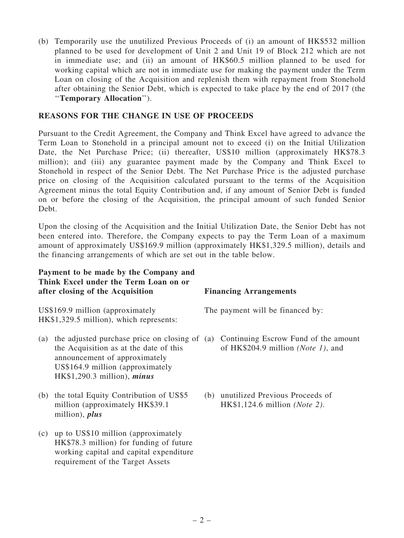(b) Temporarily use the unutilized Previous Proceeds of (i) an amount of HK\$532 million planned to be used for development of Unit 2 and Unit 19 of Block 212 which are not in immediate use; and (ii) an amount of HK\$60.5 million planned to be used for working capital which are not in immediate use for making the payment under the Term Loan on closing of the Acquisition and replenish them with repayment from Stonehold after obtaining the Senior Debt, which is expected to take place by the end of 2017 (the ''Temporary Allocation'').

#### REASONS FOR THE CHANGE IN USE OF PROCEEDS

Pursuant to the Credit Agreement, the Company and Think Excel have agreed to advance the Term Loan to Stonehold in a principal amount not to exceed (i) on the Initial Utilization Date, the Net Purchase Price; (ii) thereafter, US\$10 million (approximately HK\$78.3 million); and (iii) any guarantee payment made by the Company and Think Excel to Stonehold in respect of the Senior Debt. The Net Purchase Price is the adjusted purchase price on closing of the Acquisition calculated pursuant to the terms of the Acquisition Agreement minus the total Equity Contribution and, if any amount of Senior Debt is funded on or before the closing of the Acquisition, the principal amount of such funded Senior Debt.

Upon the closing of the Acquisition and the Initial Utilization Date, the Senior Debt has not been entered into. Therefore, the Company expects to pay the Term Loan of a maximum amount of approximately US\$169.9 million (approximately HK\$1,329.5 million), details and the financing arrangements of which are set out in the table below.

#### Payment to be made by the Company and Think Excel under the Term Loan on or after closing of the Acquisition Financing Arrangements

US\$169.9 million (approximately HK\$1,329.5 million), which represents:

- (a) the adjusted purchase price on closing of (a) Continuing Escrow Fund of the amount the Acquisition as at the date of this announcement of approximately US\$164.9 million (approximately HK\$1,290.3 million), minus
- (b) the total Equity Contribution of US\$5 million (approximately HK\$39.1 million), plus
- (c) up to US\$10 million (approximately HK\$78.3 million) for funding of future working capital and capital expenditure requirement of the Target Assets

The payment will be financed by:

- of HK\$204.9 million *(Note 1)*, and
- (b) unutilized Previous Proceeds of HK\$1,124.6 million *(Note 2)*.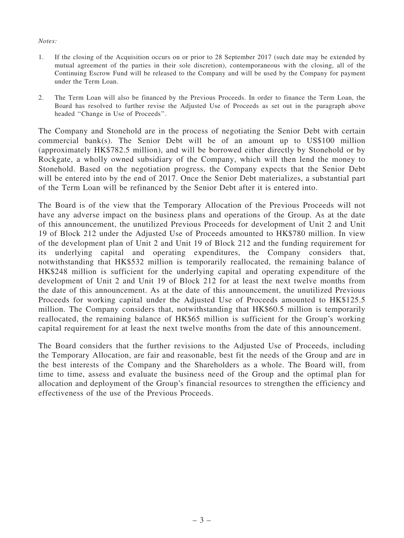#### *Notes:*

- 1. If the closing of the Acquisition occurs on or prior to 28 September 2017 (such date may be extended by mutual agreement of the parties in their sole discretion), contemporaneous with the closing, all of the Continuing Escrow Fund will be released to the Company and will be used by the Company for payment under the Term Loan.
- 2. The Term Loan will also be financed by the Previous Proceeds. In order to finance the Term Loan, the Board has resolved to further revise the Adjusted Use of Proceeds as set out in the paragraph above headed ''Change in Use of Proceeds''.

The Company and Stonehold are in the process of negotiating the Senior Debt with certain commercial bank(s). The Senior Debt will be of an amount up to US\$100 million (approximately HK\$782.5 million), and will be borrowed either directly by Stonehold or by Rockgate, a wholly owned subsidiary of the Company, which will then lend the money to Stonehold. Based on the negotiation progress, the Company expects that the Senior Debt will be entered into by the end of 2017. Once the Senior Debt materializes, a substantial part of the Term Loan will be refinanced by the Senior Debt after it is entered into.

The Board is of the view that the Temporary Allocation of the Previous Proceeds will not have any adverse impact on the business plans and operations of the Group. As at the date of this announcement, the unutilized Previous Proceeds for development of Unit 2 and Unit 19 of Block 212 under the Adjusted Use of Proceeds amounted to HK\$780 million. In view of the development plan of Unit 2 and Unit 19 of Block 212 and the funding requirement for its underlying capital and operating expenditures, the Company considers that, notwithstanding that HK\$532 million is temporarily reallocated, the remaining balance of HK\$248 million is sufficient for the underlying capital and operating expenditure of the development of Unit 2 and Unit 19 of Block 212 for at least the next twelve months from the date of this announcement. As at the date of this announcement, the unutilized Previous Proceeds for working capital under the Adjusted Use of Proceeds amounted to HK\$125.5 million. The Company considers that, notwithstanding that HK\$60.5 million is temporarily reallocated, the remaining balance of HK\$65 million is sufficient for the Group's working capital requirement for at least the next twelve months from the date of this announcement.

The Board considers that the further revisions to the Adjusted Use of Proceeds, including the Temporary Allocation, are fair and reasonable, best fit the needs of the Group and are in the best interests of the Company and the Shareholders as a whole. The Board will, from time to time, assess and evaluate the business need of the Group and the optimal plan for allocation and deployment of the Group's financial resources to strengthen the efficiency and effectiveness of the use of the Previous Proceeds.